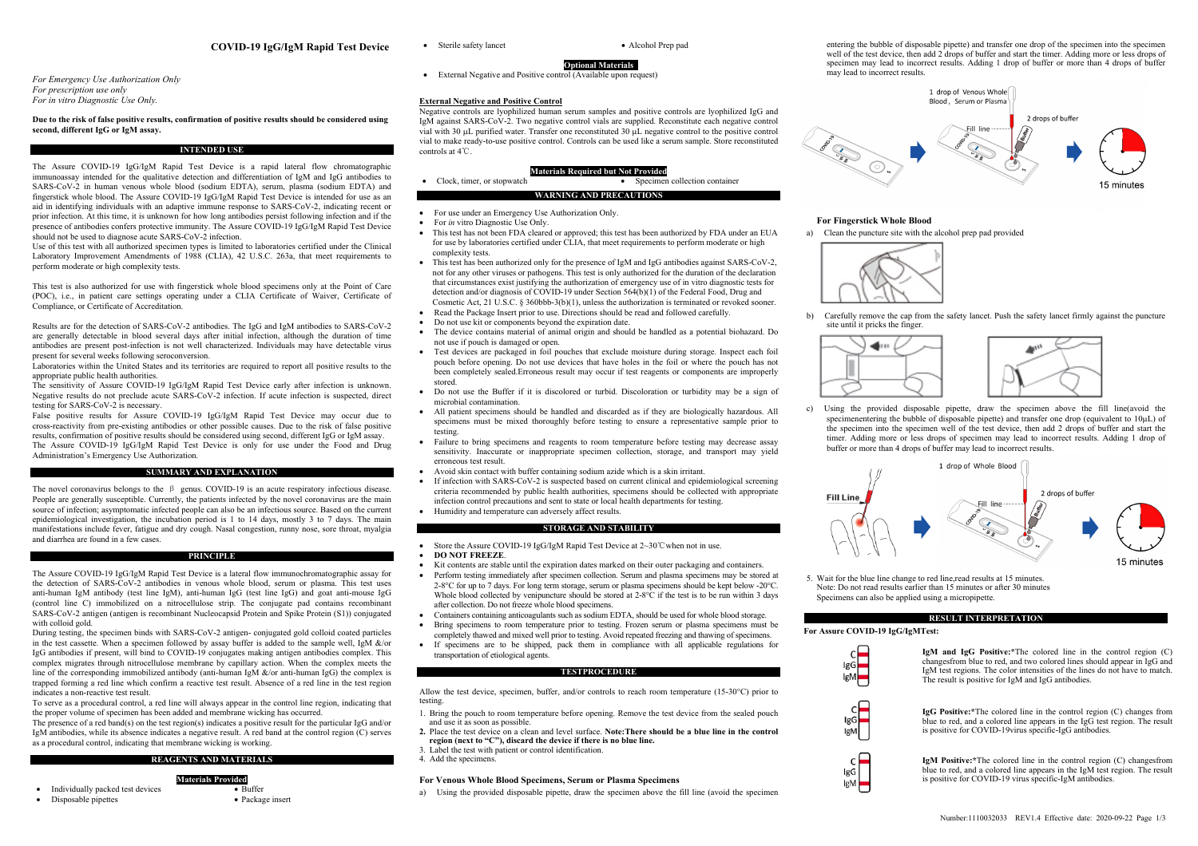## **COVID-19 IgG/IgM Rapid Test Device**

*For Emergency Use Authorization Only For prescription use only For in vitro Diagnostic Use Only.*

# **Due to the risk of false positive results, confirmation of positive results should be considered using second, different IgG or IgM assay.**

# **INTENDED USE**

The Assure COVID-19 IgG/IgM Rapid Test Device is a rapid lateral flow chromatographic immunoassay intended for the qualitative detection and differentiation of IgM and IgG antibodies to SARS-CoV-2 in human venous whole blood (sodium EDTA), serum, plasma (sodium EDTA) and fingerstick whole blood. The Assure COVID-19 IgG/IgM Rapid Test Device is intended for use as an aid in identifying individuals with an adaptive immune response to SARS-CoV-2, indicating recent or prior infection. At this time, it is unknown for how long antibodies persist following infection and if the presence of antibodies confers protective immunity. The Assure COVID-19 IgG/IgM Rapid Test Device should not be used to diagnose acute SARS-CoV-2 infection.

Use of this test with all authorized specimen types is limited to laboratories certified under the Clinical Laboratory Improvement Amendments of 1988 (CLIA), 42 U.S.C. 263a, that meet requirements to perform moderate or high complexity tests.

This test is also authorized for use with fingerstick whole blood specimens only at the Point of Care (POC), i.e., in patient care settings operating under a CLIA Certificate of Waiver, Certificate of Compliance, or Certificate of Accreditation.

Results are for the detection of SARS-CoV-2 antibodies. The IgG and IgM antibodies to SARS-CoV-2 are generally detectable in blood several days after initial infection, although the duration of time antibodies are present post-infection is not well characterized. Individuals may have detectable virus present for several weeks following seroconversion.

Laboratories within the United States and its territories are required to report all positive results to the appropriate public health authorities.

The sensitivity of Assure COVID-19 IgG/IgM Rapid Test Device early after infection is unknown. Negative results do not preclude acute SARS-CoV-2 infection. If acute infection is suspected, direct testing for SARS-CoV-2 is necessary.

False positive results for Assure COVID-19 IgG/IgM Rapid Test Device may occur due to cross-reactivity from pre-existing antibodies or other possible causes. Due to the risk of false positive results, confirmation of positive results should be considered using second, different IgG or IgM assay. The Assure COVID-19 IgG/IgM Rapid Test Device is only for use under the Food and Drug Administration's Emergency Use Authorization.

#### **SUMMARY AND EXPLANATION**

The novel coronavirus belongs to the β genus. COVID-19 is an acute respiratory infectious disease. People are generally susceptible. Currently, the patients infected by the novel coronavirus are the main source of infection; asymptomatic infected people can also be an infectious source. Based on the current epidemiological investigation, the incubation period is 1 to 14 days, mostly 3 to 7 days. The main manifestations include fever, fatigue and dry cough. Nasal congestion, runny nose, sore throat, myalgia and diarrhea are found in a few cases.

#### **PRINCIPLE**

The Assure COVID-19 IgG/IgM Rapid Test Device is a lateral flow immunochromatographic assay for the detection of SARS-CoV-2 antibodies in venous whole blood, serum or plasma. This test uses anti-human IgM antibody (test line IgM), anti-human IgG (test line IgG) and goat anti-mouse IgG (control line C) immobilized on a nitrocellulose strip. The conjugate pad contains recombinant SARS-CoV-2 antigen (antigen is recombinant Nucleocapsid Protein and Spike Protein (S1)) conjugated with colloid gold.

During testing, the specimen binds with SARS-CoV-2 antigen- conjugated gold colloid coated particles in the test cassette. When a specimen followed by assay buffer is added to the sample well, IgM  $\&$ /or IgG antibodies if present, will bind to COVID-19 conjugates making antigen antibodies complex. This complex migrates through nitrocellulose membrane by capillary action. When the complex meets the line of the corresponding immobilized antibody (anti-human IgM &/or anti-human IgG) the complex is trapped forming a red line which confirm a reactive test result. Absence of a red line in the test region indicates a non-reactive test result.

To serve as a procedural control, a red line will always appear in the control line region, indicating that the proper volume of specimen has been added and membrane wicking has occurred.

The presence of a red band(s) on the test region(s) indicates a positive result for the particular IgG and/or IgM antibodies, while its absence indicates a negative result. A red band at the control region (C) serves as a procedural control, indicating that membrane wicking is working.

# **REAGENTS AND MATERIALS**

**Materials Provided**

• Buffer • Package insert

- Individually packed test devices
- Disposable pipettes

• Sterile safety lancet • Alcohol Prep pad

**Optional Materials**  • External Negative and Positive control (Available upon request)

### **External Negative and Positive Control**

Negative controls are lyophilized human serum samples and positive controls are lyophilized IgG and IgM against SARS-CoV-2. Two negative control vials are supplied. Reconstitute each negative control vial with 30 µL purified water. Transfer one reconstituted 30 µL negative control to the positive control vial to make ready-to-use positive control. Controls can be used like a serum sample. Store reconstituted controls at 4℃.

#### **Materials Required but Not Provided**

| Clock, timer, or stopwatch |                                | Specimen collection container |
|----------------------------|--------------------------------|-------------------------------|
|                            | <b>WARNING AND PRECAUTIONS</b> |                               |

- For use under an Emergency Use Authorization Only.
- For *in* vitro Diagnostic Use Only.
- This test has not been FDA cleared or approved; this test has been authorized by FDA under an EUA for use by laboratories certified under CLIA, that meet requirements to perform moderate or high complexity tests.
- This test has been authorized only for the presence of IgM and IgG antibodies against SARS-CoV-2, not for any other viruses or pathogens. This test is only authorized for the duration of the declaration that circumstances exist justifying the authorization of emergency use of in vitro diagnostic tests for detection and/or diagnosis of COVID-19 under Section 564(b)(1) of the Federal Food, Drug and Cosmetic Act, 21 U.S.C. § 360bbb-3(b)(1), unless the authorization is terminated or revoked sooner.
- Read the Package Insert prior to use. Directions should be read and followed carefully.
- Do not use kit or components beyond the expiration date.
- The device contains material of animal origin and should be handled as a potential biohazard. Do not use if pouch is damaged or open.
- Test devices are packaged in foil pouches that exclude moisture during storage. Inspect each foil pouch before opening. Do not use devices that have holes in the foil or where the pouch has not been completely sealed.Erroneous result may occur if test reagents or components are improperly stored.
- Do not use the Buffer if it is discolored or turbid. Discoloration or turbidity may be a sign of microbial contamination.
- All patient specimens should be handled and discarded as if they are biologically hazardous. All specimens must be mixed thoroughly before testing to ensure a representative sample prior to testing.
- Failure to bring specimens and reagents to room temperature before testing may decrease assay sensitivity. Inaccurate or inappropriate specimen collection, storage, and transport may yield erroneous test result.
- Avoid skin contact with buffer containing sodium azide which is a skin irritant.
- If infection with SARS-CoV-2 is suspected based on current clinical and epidemiological screening criteria recommended by public health authorities, specimens should be collected with appropriate infection control precautions and sent to state or local health departments for testing.
- Humidity and temperature can adversely affect results.

# **STORAGE AND STABILITY**

- Store the Assure COVID-19 IgG/IgM Rapid Test Device at 2~30℃when not in use.
- **DO NOT FREEZE**.
- Kit contents are stable until the expiration dates marked on their outer packaging and containers.
- Perform testing immediately after specimen collection. Serum and plasma specimens may be stored at 2-8°C for up to 7 days. For long term storage, serum or plasma specimens should be kept below -20°C. Whole blood collected by venipuncture should be stored at 2-8°C if the test is to be run within 3 days after collection. Do not freeze whole blood specimens.
- Containers containing anticoagulants such as sodium EDTA, should be used for whole blood storage.
- Bring specimens to room temperature prior to testing. Frozen serum or plasma specimens must be completely thawed and mixed well prior to testing. Avoid repeated freezing and thawing of specimens.
- If specimens are to be shipped, pack them in compliance with all applicable regulations for transportation of etiological agents.

### **TESTPROCEDURE**

Allow the test device, specimen, buffer, and/or controls to reach room temperature (15-30°C) prior to testing.

- 1. Bring the pouch to room temperature before opening. Remove the test device from the sealed pouch and use it as soon as possible.
- **2.** Place the test device on a clean and level surface. **Note:There should be a blue line in the control region (next to "C"), discard the device if there is no blue line.**
- . Label the test with patient or control identification.
- 4. Add the specimens.

# **For Venous Whole Blood Specimens, Serum or Plasma Specimens**

a) Using the provided disposable pipette, draw the specimen above the fill line (avoid the specimen





### **For Fingerstick Whole Blood**

a) Clean the puncture site with the alcohol prep pad provided



b) Carefully remove the cap from the safety lancet. Push the safety lancet firmly against the puncture site until it pricks the finger.



c) Using the provided disposable pipette, draw the specimen above the fill line(avoid the specimenentering the bubble of disposable pipette) and transfer one drop (equivalent to 10µL) of the specimen into the specimen well of the test device, then add 2 drops of buffer and start the timer. Adding more or less drops of specimen may lead to incorrect results. Adding 1 drop of buffer or more than 4 drops of buffer may lead to incorrect results.



5. Wait for the blue line change to red line,read results at 15 minutes. Note: Do not read results earlier than 15 minutes or after 30 minutes Specimens can also be applied using a micropipette.

# **RESULT INTERPRETATION**

**For Assure COVID-19 IgG/IgMTest:**



**IgM and IgG Positive:\***The colored line in the control region (C) changesfrom blue to red, and two colored lines should appear in IgG and IgM test regions. The color intensities of the lines do not have to match. The result is positive for IgM and IgG antibodies.



**IgG Positive:\***The colored line in the control region (C) changes from blue to red, and a colored line appears in the IgG test region. The result is positive for COVID-19virus specific-IgG antibodies.



**IgM Positive:\***The colored line in the control region (C) changesfrom blue to red, and a colored line appears in the IgM test region. The result is positive for COVID-19 virus specific-IgM antibodies.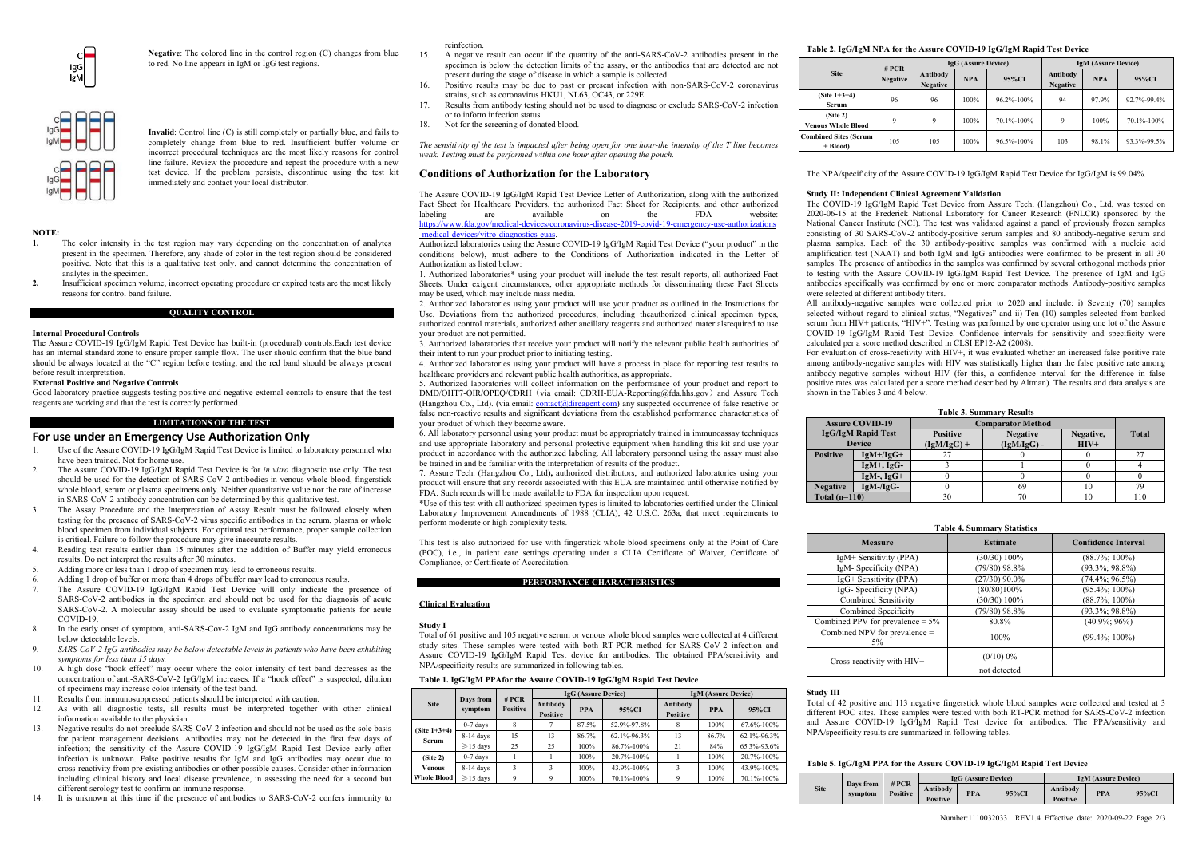

**Negative**: The colored line in the control region (C) changes from blue to red. No line appears in IgM or IgG test regions.



**Invalid**: Control line (C) is still completely or partially blue, and fails to completely change from blue to red. Insufficient buffer volume or incorrect procedural techniques are the most likely reasons for control line failure. Review the procedure and repeat the procedure with a new test device. If the problem persists, discontinue using the test kit

# **NOTE:**

**1.** The color intensity in the test region may vary depending on the concentration of analytes present in the specimen. Therefore, any shade of color in the test region should be considered positive. Note that this is a qualitative test only, and cannot determine the concentration of analytes in the specimen.

immediately and contact your local distributor.

**2.** Insufficient specimen volume, incorrect operating procedure or expired tests are the most likely reasons for control band failure.

**QUALITY CONTROL**

# **Internal Procedural Controls**

The Assure COVID-19 IgG/IgM Rapid Test Device has built-in (procedural) controls.Each test device has an internal standard zone to ensure proper sample flow. The user should confirm that the blue band should be always located at the "C" region before testing, and the red band should be always present before result interpretation.

#### **External Positive and Negative Controls**

Good laboratory practice suggests testing positive and negative external controls to ensure that the test reagents are working and that the test is correctly performed.

**LIMITATIONS OF THE TEST**

#### **For use under an Emergency Use Authorization Only**

- 1. Use of the Assure COVID-19 IgG/IgM Rapid Test Device is limited to laboratory personnel who have been trained. Not for home use.
- 2. The Assure COVID-19 IgG/IgM Rapid Test Device is for *in vitro* diagnostic use only. The test should be used for the detection of  $SARS-CoV-2$  antibodies in venous whole blood, fingerstick whole blood, serum or plasma specimens only. Neither quantitative value nor the rate of increase in SARS-CoV-2 antibody concentration can be determined by this qualitative test.
- 3. The Assay Procedure and the Interpretation of Assay Result must be followed closely when testing for the presence of SARS-CoV-2 virus specific antibodies in the serum, plasma or whole blood specimen from individual subjects. For optimal test performance, proper sample collection is critical. Failure to follow the procedure may give inaccurate results.
- Reading test results earlier than 15 minutes after the addition of Buffer may yield erroneous results. Do not interpret the results after 30 minutes.
- 5. Adding more or less than 1 drop of specimen may lead to erroneous results.
- 6. Adding 1 drop of buffer or more than 4 drops of buffer may lead to erroneous results.
- The Assure COVID-19 IgG/IgM Rapid Test Device will only indicate the presence of SARS-CoV-2 antibodies in the specimen and should not be used for the diagnosis of acute SARS-CoV-2. A molecular assay should be used to evaluate symptomatic patients for acute COVID-19.
- In the early onset of symptom, anti-SARS-Cov-2 IgM and IgG antibody concentrations may be below detectable levels.
- 9. *SARS-CoV-2 IgG antibodies may be below detectable levels in patients who have been exhibiting symptoms for less than 15 days.*
- 10. A high dose "hook effect" may occur where the color intensity of test band decreases as the concentration of anti-SARS-CoV-2 IgG/IgM increases. If a "hook effect" is suspected, dilution of specimens may increase color intensity of the test band.
- Results from immunosuppressed patients should be interpreted with caution.
- 12. As with all diagnostic tests, all results must be interpreted together with other clinical information available to the physician.
- 13. Negative results do not preclude SARS-CoV-2 infection and should not be used as the sole basis for patient management decisions. Antibodies may not be detected in the first few days of infection; the sensitivity of the Assure COVID-19 IgG/IgM Rapid Test Device early after infection is unknown. False positive results for IgM and IgG antibodies may occur due to cross-reactivity from pre-existing antibodies or other possible causes. Consider other information including clinical history and local disease prevalence, in assessing the need for a second but different serology test to confirm an immune response.
- It is unknown at this time if the presence of antibodies to SARS-CoV-2 confers immunity to

#### reinfection.

- 15. A negative result can occur if the quantity of the anti-SARS-CoV-2 antibodies present in the specimen is below the detection limits of the assay, or the antibodies that are detected are not present during the stage of disease in which a sample is collected.
- 16. Positive results may be due to past or present infection with non-SARS-CoV-2 coronavirus strains, such as coronavirus HKU1, NL63, OC43, or 229E.
- 17. Results from antibody testing should not be used to diagnose or exclude SARS-CoV-2 infection or to inform infection status.
- 18. Not for the screening of donated blood.

*The sensitivity of the test is impacted after being open for one hour-the intensity of the T line becomes weak. Testing must be performed within one hour after opening the pouch.* 

# **Conditions of Authorization for the Laboratory**

The Assure COVID-19 IgG/IgM Rapid Test Device Letter of Authorization, along with the authorized Fact Sheet for Healthcare Providers, the authorized Fact Sheet for Recipients, and other authorized labeling are available on the FDA website: labeling are available on the FDA website: https://www.fda.gov/medical-devices/coronavirus-disease-2019-covid-19-emergency-use-authorizations

# -medical-devices/vitro-diagnostics-euas.

Authorized laboratories using the Assure COVID-19 IgG/IgM Rapid Test Device ("your product" in the conditions below), must adhere to the Conditions of Authorization indicated in the Letter of Authorization as listed below:

1. Authorized laboratories\* using your product will include the test result reports, all authorized Fact Sheets. Under exigent circumstances, other appropriate methods for disseminating these Fact Sheets may be used, which may include mass media.

2. Authorized laboratories using your product will use your product as outlined in the Instructions for Use. Deviations from the authorized procedures, including theauthorized clinical specimen types, authorized control materials, authorized other ancillary reagents and authorized materialsrequired to use your product are not permitted.

3. Authorized laboratories that receive your product will notify the relevant public health authorities of their intent to run your product prior to initiating testing.

4. Authorized laboratories using your product will have a process in place for reporting test results to healthcare providers and relevant public health authorities, as appropriate.

5. Authorized laboratories will collect information on the performance of your product and report to DMD/OHT7-OIR/OPEO/CDRH (via email: CDRH-EUA-Reporting@fda.hhs.gov) and Assure Tech (Hangzhou Co., Ltd). (via email: contact@direagent.com) any suspected occurrence of false reactive or false non-reactive results and significant deviations from the established performance characteristics of your product of which they become aware.

6. All laboratory personnel using your product must be appropriately trained in immunoassay techniques and use appropriate laboratory and personal protective equipment when handling this kit and use your product in accordance with the authorized labeling. All laboratory personnel using the assay must also be trained in and be familiar with the interpretation of results of the product.

7. Assure Tech. (Hangzhou Co., Ltd)**,** authorized distributors, and authorized laboratories using your product will ensure that any records associated with this EUA are maintained until otherwise notified by FDA. Such records will be made available to FDA for inspection upon request.

\*Use of this test with all authorized specimen types is limited to laboratories certified under the Clinical Laboratory Improvement Amendments of 1988 (CLIA), 42 U.S.C. 263a, that meet requirements to perform moderate or high complexity tests.

This test is also authorized for use with fingerstick whole blood specimens only at the Point of Care (POC), i.e., in patient care settings operating under a CLIA Certificate of Waiver, Certificate of Compliance, or Certificate of Accreditation.

#### **PERFORMANCE CHARACTERISTICS**

### **Clinical Evaluation**

#### **Study I**

Total of 61 positive and 105 negative serum or venous whole blood samples were collected at 4 different study sites. These samples were tested with both RT-PCR method for SARS-CoV-2 infection and Assure COVID-19 IgG/IgM Rapid Test device for antibodies. The obtained PPA/sensitivity and NPA/specificity results are summarized in following tables.

## **Table 1. IgG/IgM PPAfor the Assure COVID-19 IgG/IgM Rapid Test Device**

|                          |                      | # PCR<br><b>Positive</b> |                             | IgG (Assure Device) |             | <b>IgM</b> (Assure Device)  |            |             |  |
|--------------------------|----------------------|--------------------------|-----------------------------|---------------------|-------------|-----------------------------|------------|-------------|--|
| <b>Site</b>              | Days from<br>symptom |                          | Antibody<br><b>Positive</b> | <b>PPA</b>          | 95%CI       | Antibody<br><b>Positive</b> | <b>PPA</b> | 95%CI       |  |
|                          | $0-7$ days           | 8                        |                             | 87.5%               | 52.9%-97.8% |                             | 100%       | 67.6%-100%  |  |
| (Site $1+3+4$ )<br>Serum | 8-14 days            | 15                       | 13                          | 86.7%               | 62.1%-96.3% | 13                          | 86.7%      | 62.1%-96.3% |  |
|                          | $\geq$ 15 days       | 25                       | 25                          | 100%                | 86.7%-100%  | 21                          | 84%        | 65.3%-93.6% |  |
| (Site 2)                 | $0-7$ days           |                          |                             | 100%                | 20.7%-100%  |                             | 100%       | 20.7%-100%  |  |
| <b>Venous</b>            | 8-14 days            | 3                        |                             | 100%                | 43.9%-100%  |                             | 100%       | 43.9%-100%  |  |
| <b>Whole Blood</b>       | $\geq$ 15 days       | Q                        | 9                           | 100%                | 70.1%-100%  |                             | 100%       | 70.1%-100%  |  |

### **Table 2. IgG/IgM NPA for the Assure COVID-19 IgG/IgM Rapid Test Device**

|                                                   | # PCR           |                             | <b>IgG</b> (Assure Device) |            | <b>IgM (Assure Device)</b>  |            |             |  |
|---------------------------------------------------|-----------------|-----------------------------|----------------------------|------------|-----------------------------|------------|-------------|--|
| <b>Site</b>                                       | <b>Negative</b> | Antibody<br><b>Negative</b> | <b>NPA</b><br>95%CI        |            | Antibody<br><b>Negative</b> | <b>NPA</b> | 95%CI       |  |
| (Site $1+3+4$ )<br>Serum                          | 96              | 96                          | 100%                       | 96.2%-100% | 94                          | 97.9%      | 92.7%-99.4% |  |
| (Site <sub>2</sub> )<br><b>Venous Whole Blood</b> | $\mathbf Q$     | $\mathbf Q$                 | 100%                       | 70.1%-100% | 9                           | 100%       | 70.1%-100%  |  |
| <b>Combined Sites (Serum)</b><br>$+ Blood$        | 105             | 105                         | 100%                       | 96.5%-100% | 103                         | 98.1%      | 93.3%-99.5% |  |

The NPA/specificity of the Assure COVID-19 IgG/IgM Rapid Test Device for IgG/IgM is 99.04%.

# **Study II: Independent Clinical Agreement Validation**

The COVID-19 IgG/IgM Rapid Test Device from Assure Tech. (Hangzhou) Co., Ltd. was tested on 2020-06-15 at the Frederick National Laboratory for Cancer Research (FNLCR) sponsored by the National Cancer Institute (NCI). The test was validated against a panel of previously frozen samples consisting of 30 SARS-CoV-2 antibody-positive serum samples and 80 antibody-negative serum and plasma samples. Each of the 30 antibody-positive samples was confirmed with a nucleic acid amplification test (NAAT) and both IgM and IgG antibodies were confirmed to be present in all 30 samples. The presence of antibodies in the samples was confirmed by several orthogonal methods prior to testing with the Assure COVID-19 IgG/IgM Rapid Test Device. The presence of IgM and IgG antibodies specifically was confirmed by one or more comparator methods. Antibody-positive samples were selected at different antibody titers.

All antibody-negative samples were collected prior to 2020 and include: i) Seventy (70) samples selected without regard to clinical status, "Negatives" and ii) Ten (10) samples selected from banked served which is equivalently the contract of the Massure of the Assure serum from HIV+ patients, "HIV+". Testing was performed by one operator using one lot of the Assure COVID-19 IgG/IgM Rapid Test Device. Confidence intervals for sensitivity and specificity were calculated per a score method described in CLSI EP12-A2 (2008).

For evaluation of cross-reactivity with HIV+, it was evaluated whether an increased false positive rate among antibody-negative samples with HIV was statistically higher than the false positive rate among antibody-negative samples without HIV (for this, a confidence interval for the difference in false positive rates was calculated per a score method described by Altman). The results and data analysis are shown in the Tables 3 and 4 below.

|                 | <b>Table 3. Summary Results</b> |                          |                 |           |              |  |  |  |  |
|-----------------|---------------------------------|--------------------------|-----------------|-----------|--------------|--|--|--|--|
|                 | <b>Assure COVID-19</b>          | <b>Comparator Method</b> |                 |           |              |  |  |  |  |
|                 | <b>IgG/IgM Rapid Test</b>       | <b>Positive</b>          | <b>Negative</b> | Negative, | <b>Total</b> |  |  |  |  |
|                 | <b>Device</b>                   | $(IgM/IgG)$ +            | $(IgM/IgG)$ -   | $HIV+$    |              |  |  |  |  |
| <b>Positive</b> | $IgM+/IgG+$                     |                          |                 |           | 27           |  |  |  |  |
|                 | $IgM+$ , $IgG-$                 |                          |                 |           |              |  |  |  |  |
|                 | $IgM-, IgG+$                    |                          |                 |           |              |  |  |  |  |
| <b>Negative</b> | $IgM-IgG-$                      |                          | 69              | 10        | 79           |  |  |  |  |
| Total $(n=110)$ |                                 | 30                       | 70              | 10        | 110          |  |  |  |  |

#### **Table 4. Summary Statistics**

| <b>Measure</b>                      | <b>Estimate</b>              | <b>Confidence Interval</b> |  |  |  |  |
|-------------------------------------|------------------------------|----------------------------|--|--|--|--|
| IgM+ Sensitivity (PPA)              | $(30/30)$ 100%               | $(88.7\%; 100\%)$          |  |  |  |  |
| IgM-Specificity (NPA)               | $(79/80)$ 98.8%              | $(93.3\%; 98.8\%)$         |  |  |  |  |
| IgG+ Sensitivity (PPA)              | $(27/30)$ 90.0%              | $(74.4\%; 96.5\%)$         |  |  |  |  |
| IgG-Specificity (NPA)               | (80/80)100%                  | $(95.4\%; 100\%)$          |  |  |  |  |
| <b>Combined Sensitivity</b>         | $(30/30) 100\%$              | $(88.7\%; 100\%)$          |  |  |  |  |
| Combined Specificity                | $(79/80)$ 98.8%              | $(93.3\%; 98.8\%)$         |  |  |  |  |
| Combined PPV for prevalence $= 5\%$ | 80.8%                        | $(40.9\%; 96\%)$           |  |  |  |  |
| Combined NPV for prevalence =<br>5% | 100%                         | $(99.4\%; 100\%)$          |  |  |  |  |
| Cross-reactivity with HIV+          | $(0/10) 0\%$<br>not detected |                            |  |  |  |  |

#### **Study III**

Total of 42 positive and 113 negative fingerstick whole blood samples were collected and tested at 3 different POC sites. These samples were tested with both RT-PCR method for SARS-CoV-2 infection and Assure COVID-19 IgG/IgM Rapid Test device for antibodies. The PPA/sensitivity and NPA/specificity results are summarized in following tables.

### **Table 5. IgG/IgM PPA for the Assure COVID-19 IgG/IgM Rapid Test Device**

|             | Days from | # PCR    | <b>IgG</b> (Assure Device)<br><b>IgM (Assure Device)</b><br>Antibody<br>Antibody<br><b>PPA</b><br><b>PPA</b><br>95%CI<br><b>Positive</b><br><b>Positive</b> |  |  |  |  |       |
|-------------|-----------|----------|-------------------------------------------------------------------------------------------------------------------------------------------------------------|--|--|--|--|-------|
| <b>Site</b> | symptom   | Positive |                                                                                                                                                             |  |  |  |  | 95%CI |